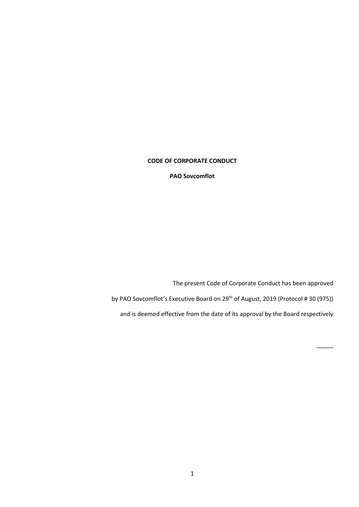## **CODE OF CORPORATE CONDUCT**

**PAO Sovcomflot** 

The present Code of Corporate Conduct has been approved by PAO Sovcomflot's Executive Board on 29<sup>th</sup> of August, 2019 (Protocol # 30 (975)) and is deemed effective from the date of its approval by the Board respectively

 $\overline{\phantom{a}}$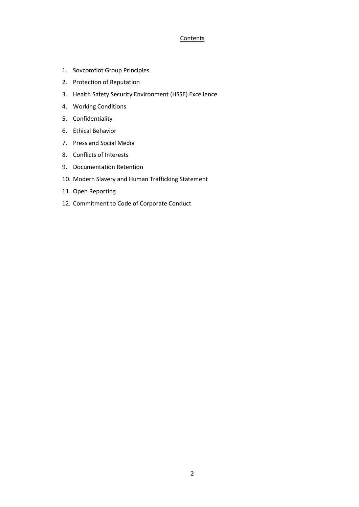## **Contents**

- 1. Sovcomflot Group Principles
- 2. Protection of Reputation
- 3. Health Safety Security Environment (HSSE) Excellence
- 4. Working Conditions
- 5. Confidentiality
- 6. Ethical Behavior
- 7. Press and Social Media
- 8. Conflicts of Interests
- 9. Documentation Retention
- 10. Modern Slavery and Human Trafficking Statement
- 11. Open Reporting
- 12. Commitment to Сode of Corporate Conduct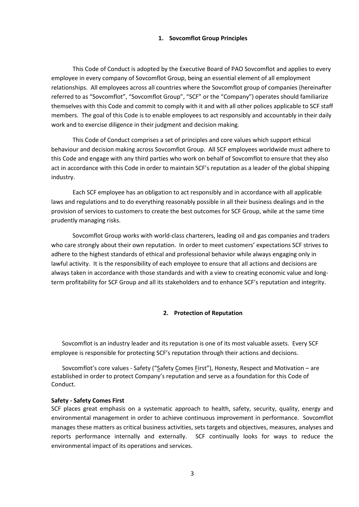### **1. Sovcomflot Group Principles**

This Code of Conduct is adopted by the Executive Board of PAO Sovcomflot and applies to every employee in every company of Sovcomflot Group, being an essential element of all employment relationships. All employees across all countries where the Sovcomflot group of companies (hereinafter referred to as "Sovcomflot", "Sovcomflot Group", "SCF" or the "Company") operates should familiarize themselves with this Code and commit to comply with it and with all other polices applicable to SCF staff members. The goal of this Code is to enable employees to act responsibly and accountably in their daily work and to exercise diligence in their judgment and decision making.

This Code of Conduct comprises a set of principles and core values which support ethical behaviour and decision making across Sovcomflot Group. All SCF employees worldwide must adhere to this Code and engage with any third parties who work on behalf of Sovcomflot to ensure that they also act in accordance with this Code in order to maintain SCF's reputation as a leader of the global shipping industry.

Each SCF employee has an obligation to act responsibly and in accordance with all applicable laws and regulations and to do everything reasonably possible in all their business dealings and in the provision of services to customers to create the best outcomes for SCF Group, while at the same time prudently managing risks.

Sovcomflot Group works with world-class charterers, leading oil and gas companies and traders who care strongly about their own reputation. In order to meet customers' expectations SCF strives to adhere to the highest standards of ethical and professional behavior while always engaging only in lawful activity. It is the responsibility of each employee to ensure that all actions and decisions are always taken in accordance with those standards and with a view to creating economic value and longterm profitability for SCF Group and all its stakeholders and to enhance SCF's reputation and integrity.

# **2. Protection of Reputation**

Sovcomflot is an industry leader and its reputation is one of its most valuable assets. Every SCF employee is responsible for protecting SCF's reputation through their actions and decisions.

Sovcomflot's core values - Safety ("Safety Comes First"), Honesty, Respect and Motivation – are established in order to protect Company's reputation and serve as a foundation for this Code of Conduct.

### **Safety - Safety Comes First**

SCF places great emphasis on a systematic approach to health, safety, security, quality, energy and environmental management in order to achieve continuous improvement in performance. Sovcomflot manages these matters as critical business activities, sets targets and objectives, measures, analyses and reports performance internally and externally. SCF continually looks for ways to reduce the environmental impact of its operations and services.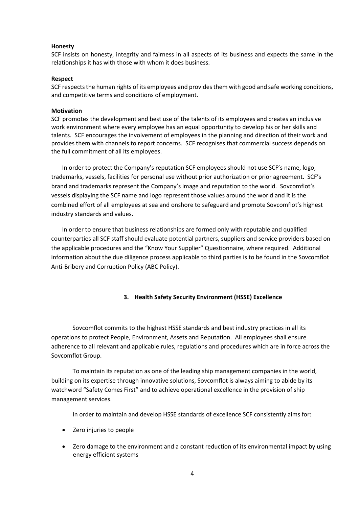### **Honesty**

SCF insists on honesty, integrity and fairness in all aspects of its business and expects the same in the relationships it has with those with whom it does business.

### **Respect**

SCF respects the human rights of its employees and provides them with good and safe working conditions, and competitive terms and conditions of employment.

## **Motivation**

SCF promotes the development and best use of the talents of its employees and creates an inclusive work environment where every employee has an equal opportunity to develop his or her skills and talents. SCF encourages the involvement of employees in the planning and direction of their work and provides them with channels to report concerns. SCF recognises that commercial success depends on the full commitment of all its employees.

In order to protect the Company's reputation SCF employees should not use SCF's name, logo, trademarks, vessels, facilities for personal use without prior authorization or prior agreement. SCF's brand and trademarks represent the Company's image and reputation to the world. Sovcomflot's vessels displaying the SCF name and logo represent those values around the world and it is the combined effort of all employees at sea and onshore to safeguard and promote Sovcomflot's highest industry standards and values.

In order to ensure that business relationships are formed only with reputable and qualified counterparties all SCF staff should evaluate potential partners, suppliers and service providers based on the applicable procedures and the "Know Your Supplier" Questionnaire, where required. Additional information about the due diligence process applicable to third parties is to be found in the Sovcomflot Anti-Bribery and Corruption Policy (ABC Policy).

## **3. Health Safety Security Environment (HSSE) Excellence**

Sovcomflot commits to the highest HSSE standards and best industry practices in all its operations to protect People, Environment, Assets and Reputation. All employees shall ensure adherence to all relevant and applicable rules, regulations and procedures which are in force across the Sovcomflot Group.

To maintain its reputation as one of the leading ship management companies in the world, building on its expertise through innovative solutions, Sovcomflot is always aiming to abide by its watchword "Safety Comes First" and to achieve operational excellence in the provision of ship management services.

In order to maintain and develop HSSE standards of excellence SCF consistently aims for:

- Zero injuries to people
- Zero damage to the environment and a constant reduction of its environmental impact by using energy efficient systems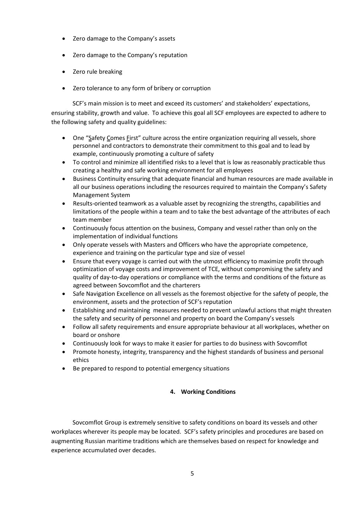- Zero damage to the Company's assets
- Zero damage to the Company's reputation
- Zero rule breaking
- Zero tolerance to any form of bribery or corruption

SCF's main mission is to meet and exceed its customers' and stakeholders' expectations, ensuring stability, growth and value. To achieve this goal all SCF employees are expected to adhere to the following safety and quality guidelines:

- One "Safety Comes First" culture across the entire organization requiring all vessels, shore personnel and contractors to demonstrate their commitment to this goal and to lead by example, continuously promoting a culture of safety
- To control and minimize all identified risks to a level that is low as reasonably practicable thus creating a healthy and safe working environment for all employees
- Business Continuity ensuring that adequate financial and human resources are made available in all our business operations including the resources required to maintain the Company's Safety Management System
- Results-oriented teamwork as a valuable asset by recognizing the strengths, capabilities and limitations of the people within a team and to take the best advantage of the attributes of each team member
- Continuously focus attention on the business, Company and vessel rather than only on the implementation of individual functions
- Only operate vessels with Masters and Officers who have the appropriate competence, experience and training on the particular type and size of vessel
- Ensure that every voyage is carried out with the utmost efficiency to maximize profit through optimization of voyage costs and improvement of TCE, without compromising the safety and quality of day-to-day operations or compliance with the terms and conditions of the fixture as agreed between Sovcomflot and the charterers
- Safe Navigation Excellence on all vessels as the foremost objective for the safety of people, the environment, assets and the protection of SCF's reputation
- Establishing and maintaining measures needed to prevent unlawful actions that might threaten the safety and security of personnel and property on board the Company's vessels
- Follow all safety requirements and ensure appropriate behaviour at all workplaces, whether on board or onshore
- Continuously look for ways to make it easier for parties to do business with Sovcomflot
- Promote honesty, integrity, transparency and the highest standards of business and personal ethics
- Be prepared to respond to potential emergency situations

# **4. Working Conditions**

Sovcomflot Group is extremely sensitive to safety conditions on board its vessels and other workplaces wherever its people may be located. SCF's safety principles and procedures are based on augmenting Russian maritime traditions which are themselves based on respect for knowledge and experience accumulated over decades.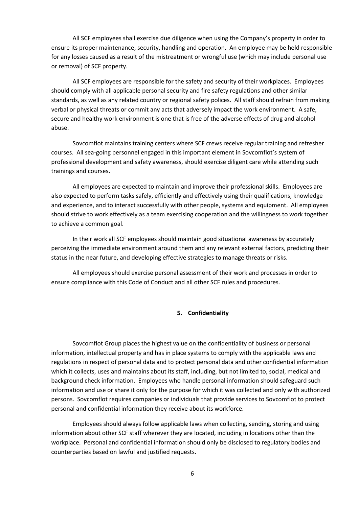All SCF employees shall exercise due diligence when using the Company's property in order to ensure its proper maintenance, security, handling and operation. An employee may be held responsible for any losses caused as a result of the mistreatment or wrongful use (which may include personal use or removal) of SCF property.

All SCF employees are responsible for the safety and security of their workplaces. Employees should comply with all applicable personal security and fire safety regulations and other similar standards, as well as any related country or regional safety polices. All staff should refrain from making verbal or physical threats or commit any acts that adversely impact the work environment. A safe, secure and healthy work environment is one that is free of the adverse effects of drug and alcohol abuse.

Sovcomflot maintains training centers where SCF crews receive regular training and refresher courses. All sea-going personnel engaged in this important element in Sovcomflot's system of professional development and safety awareness, should exercise diligent care while attending such trainings and courses**.**

All employees are expected to maintain and improve their professional skills. Employees are also expected to perform tasks safely, efficiently and effectively using their qualifications, knowledge and experience, and to interact successfully with other people, systems and equipment. All employees should strive to work effectively as a team exercising cooperation and the willingness to work together to achieve a common goal.

In their work all SCF employees should maintain good situational awareness by accurately perceiving the immediate environment around them and any relevant external factors, predicting their status in the near future, and developing effective strategies to manage threats or risks.

All employees should exercise personal assessment of their work and processes in order to ensure compliance with this Code of Conduct and all other SCF rules and procedures.

## **5. Confidentiality**

Sovcomflot Group places the highest value on the confidentiality of business or personal information, intellectual property and has in place systems to comply with the applicable laws and regulations in respect of personal data and to protect personal data and other confidential information which it collects, uses and maintains about its staff, including, but not limited to, social, medical and background check information. Employees who handle personal information should safeguard such information and use or share it only for the purpose for which it was collected and only with authorized persons. Sovcomflot requires companies or individuals that provide services to Sovcomflot to protect personal and confidential information they receive about its workforce.

Employees should always follow applicable laws when collecting, sending, storing and using information about other SCF staff wherever they are located, including in locations other than the workplace. Personal and confidential information should only be disclosed to regulatory bodies and counterparties based on lawful and justified requests.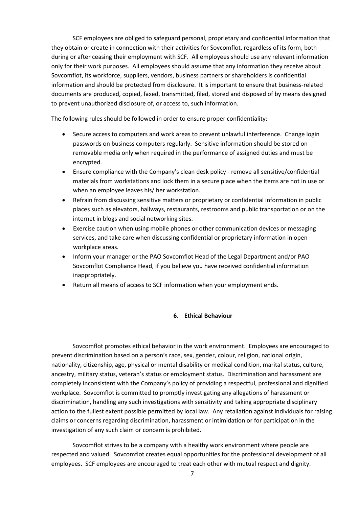SCF employees are obliged to safeguard personal, proprietary and confidential information that they obtain or create in connection with their activities for Sovcomflot, regardless of its form, both during or after ceasing their employment with SCF. All employees should use any relevant information only for their work purposes. All employees should assume that any information they receive about Sovcomflot, its workforce, suppliers, vendors, business partners or shareholders is confidential information and should be protected from disclosure. It is important to ensure that business-related documents are produced, copied, faxed, transmitted, filed, stored and disposed of by means designed to prevent unauthorized disclosure of, or access to, such information.

The following rules should be followed in order to ensure proper confidentiality:

- Secure access to computers and work areas to prevent unlawful interference. Change login passwords on business computers regularly. Sensitive information should be stored on removable media only when required in the performance of assigned duties and must be encrypted.
- Ensure compliance with the Company's clean desk policy remove all sensitive/confidential materials from workstations and lock them in a secure place when the items are not in use or when an employee leaves his/ her workstation.
- Refrain from discussing sensitive matters or proprietary or confidential information in public places such as elevators, hallways, restaurants, restrooms and public transportation or on the internet in blogs and social networking sites.
- Exercise caution when using mobile phones or other communication devices or messaging services, and take care when discussing confidential or proprietary information in open workplace areas.
- Inform your manager or the PAO Sovcomflot Head of the Legal Department and/or PAO Sovcomflot Compliance Head, if you believe you have received confidential information inappropriately.
- Return all means of access to SCF information when your employment ends.

### **6. Ethical Behaviour**

Sovcomflot promotes ethical behavior in the work environment. Employees are encouraged to prevent discrimination based on a person's race, sex, gender, colour, religion, national origin, nationality, citizenship, age, physical or mental disability or medical condition, marital status, culture, ancestry, military status, veteran's status or employment status. Discrimination and harassment are completely inconsistent with the Company's policy of providing a respectful, professional and dignified workplace. Sovcomflot is committed to promptly investigating any allegations of harassment or discrimination, handling any such investigations with sensitivity and taking appropriate disciplinary action to the fullest extent possible permitted by local law. Any retaliation against individuals for raising claims or concerns regarding discrimination, harassment or intimidation or for participation in the investigation of any such claim or concern is prohibited.

Sovcomflot strives to be a company with a healthy work environment where people are respected and valued. Sovcomflot creates equal opportunities for the professional development of all employees. SCF employees are encouraged to treat each other with mutual respect and dignity.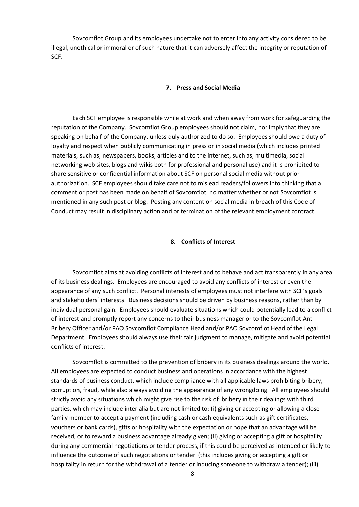Sovcomflot Group and its employees undertake not to enter into any activity considered to be illegal, unethical or immoral or of such nature that it can adversely affect the integrity or reputation of SCF.

#### **7. Press and Social Media**

Each SCF employee is responsible while at work and when away from work for safeguarding the reputation of the Company. Sovcomflot Group employees should not claim, nor imply that they are speaking on behalf of the Company, unless duly authorized to do so. Employees should owe a duty of loyalty and respect when publicly communicating in press or in social media (which includes printed materials, such as, newspapers, books, articles and to the internet, such as, multimedia, social networking web sites, blogs and wikis both for professional and personal use) and it is prohibited to share sensitive or confidential information about SCF on personal social media without prior authorization. SCF employees should take care not to mislead readers/followers into thinking that a comment or post has been made on behalf of Sovcomflot, no matter whether or not Sovcomflot is mentioned in any such post or blog. Posting any content on social media in breach of this Code of Conduct may result in disciplinary action and or termination of the relevant employment contract.

### **8. Conflicts of Interest**

Sovcomflot aims at avoiding conflicts of interest and to behave and act transparently in any area of its business dealings. Employees are encouraged to avoid any conflicts of interest or even the appearance of any such conflict. Personal interests of employees must not interfere with SCF's goals and stakeholders' interests. Business decisions should be driven by business reasons, rather than by individual personal gain. Employees should evaluate situations which could potentially lead to a conflict of interest and promptly report any concerns to their business manager or to the Sovcomflot Anti-Bribery Officer and/or PAO Sovcomflot Compliance Head and/or PAO Sovcomflot Head of the Legal Department. Employees should always use their fair judgment to manage, mitigate and avoid potential conflicts of interest.

Sovcomflot is committed to the prevention of bribery in its business dealings around the world. All employees are expected to conduct business and operations in accordance with the highest standards of business conduct, which include compliance with all applicable laws prohibiting bribery, corruption, fraud, while also always avoiding the appearance of any wrongdoing. All employees should strictly avoid any situations which might give rise to the risk of bribery in their dealings with third parties, which may include inter alia but are not limited to: (i) giving or accepting or allowing a close family member to accept a payment (including cash or cash equivalents such as gift certificates, vouchers or bank cards), gifts or hospitality with the expectation or hope that an advantage will be received, or to reward a business advantage already given; (ii) giving or accepting a gift or hospitality during any commercial negotiations or tender process, if this could be perceived as intended or likely to influence the outcome of such negotiations or tender (this includes giving or accepting a gift or hospitality in return for the withdrawal of a tender or inducing someone to withdraw a tender); (iii)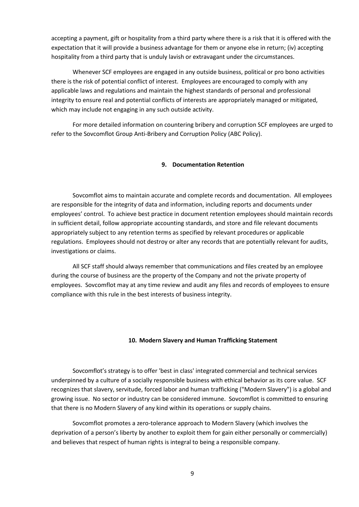accepting a payment, gift or hospitality from a third party where there is a risk that it is offered with the expectation that it will provide a business advantage for them or anyone else in return; (iv) accepting hospitality from a third party that is unduly lavish or extravagant under the circumstances.

Whenever SCF employees are engaged in any outside business, political or pro bono activities there is the risk of potential conflict of interest. Employees are encouraged to comply with any applicable laws and regulations and maintain the highest standards of personal and professional integrity to ensure real and potential conflicts of interests are appropriately managed or mitigated, which may include not engaging in any such outside activity.

For more detailed information on countering bribery and corruption SCF employees are urged to refer to the Sovcomflot Group Anti-Bribery and Corruption Policy (ABC Policy).

### **9. Documentation Retention**

Sovcomflot aims to maintain accurate and complete records and documentation. All employees are responsible for the integrity of data and information, including reports and documents under employees' control. To achieve best practice in document retention employees should maintain records in sufficient detail, follow appropriate accounting standards, and store and file relevant documents appropriately subject to any retention terms as specified by relevant procedures or applicable regulations. Employees should not destroy or alter any records that are potentially relevant for audits, investigations or claims.

All SCF staff should always remember that communications and files created by an employee during the course of business are the property of the Company and not the private property of employees. Sovcomflot may at any time review and audit any files and records of employees to ensure compliance with this rule in the best interests of business integrity.

### **10. Modern Slavery and Human Trafficking Statement**

Sovcomflot's strategy is to offer 'best in class' integrated commercial and technical services underpinned by a culture of a socially responsible business with ethical behavior as its core value. SCF recognizes that slavery, servitude, forced labor and human trafficking ("Modern Slavery") is a global and growing issue. No sector or industry can be considered immune. Sovcomflot is committed to ensuring that there is no Modern Slavery of any kind within its operations or supply chains.

Sovcomflot promotes a zero-tolerance approach to Modern Slavery (which involves the deprivation of a person's liberty by another to exploit them for gain either personally or commercially) and believes that respect of human rights is integral to being a responsible company.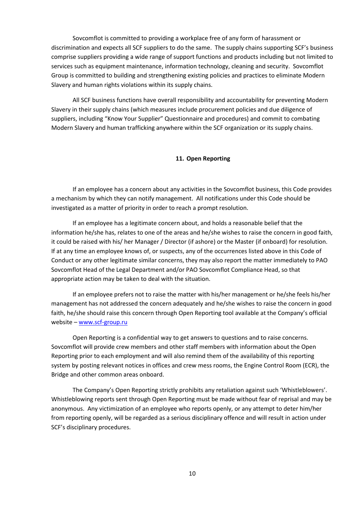Sovcomflot is committed to providing a workplace free of any form of harassment or discrimination and expects all SCF suppliers to do the same. The supply chains supporting SCF's business comprise suppliers providing a wide range of support functions and products including but not limited to services such as equipment maintenance, information technology, cleaning and security. Sovcomflot Group is committed to building and strengthening existing policies and practices to eliminate Modern Slavery and human rights violations within its supply chains.

All SCF business functions have overall responsibility and accountability for preventing Modern Slavery in their supply chains (which measures include procurement policies and due diligence of suppliers, including "Know Your Supplier" Questionnaire and procedures) and commit to combating Modern Slavery and human trafficking anywhere within the SCF organization or its supply chains.

## **11. Open Reporting**

If an employee has a concern about any activities in the Sovcomflot business, this Code provides a mechanism by which they can notify management. All notifications under this Code should be investigated as a matter of priority in order to reach a prompt resolution.

If an employee has a legitimate concern about, and holds a reasonable belief that the information he/she has, relates to one of the areas and he/she wishes to raise the concern in good faith, it could be raised with his/ her Manager / Director (if ashore) or the Master (if onboard) for resolution. If at any time an employee knows of, or suspects, any of the occurrences listed above in this Code of Conduct or any other legitimate similar concerns, they may also report the matter immediately to PAO Sovcomflot Head of the Legal Department and/or PAO Sovcomflot Compliance Head, so that appropriate action may be taken to deal with the situation.

If an employee prefers not to raise the matter with his/her management or he/she feels his/her management has not addressed the concern adequately and he/she wishes to raise the concern in good faith, he/she should raise this concern through Open Reporting tool available at the Company's official website – [www.scf-group.ru](http://www.scf-group.ru/) 

Open Reporting is a confidential way to get answers to questions and to raise concerns. Sovcomflot will provide crew members and other staff members with information about the Open Reporting prior to each employment and will also remind them of the availability of this reporting system by posting relevant notices in offices and crew mess rooms, the Engine Control Room (ECR), the Bridge and other common areas onboard.

The Company's Open Reporting strictly prohibits any retaliation against such 'Whistleblowers'. Whistleblowing reports sent through Open Reporting must be made without fear of reprisal and may be anonymous. Any victimization of an employee who reports openly, or any attempt to deter him/her from reporting openly, will be regarded as a serious disciplinary offence and will result in action under SCF's disciplinary procedures.